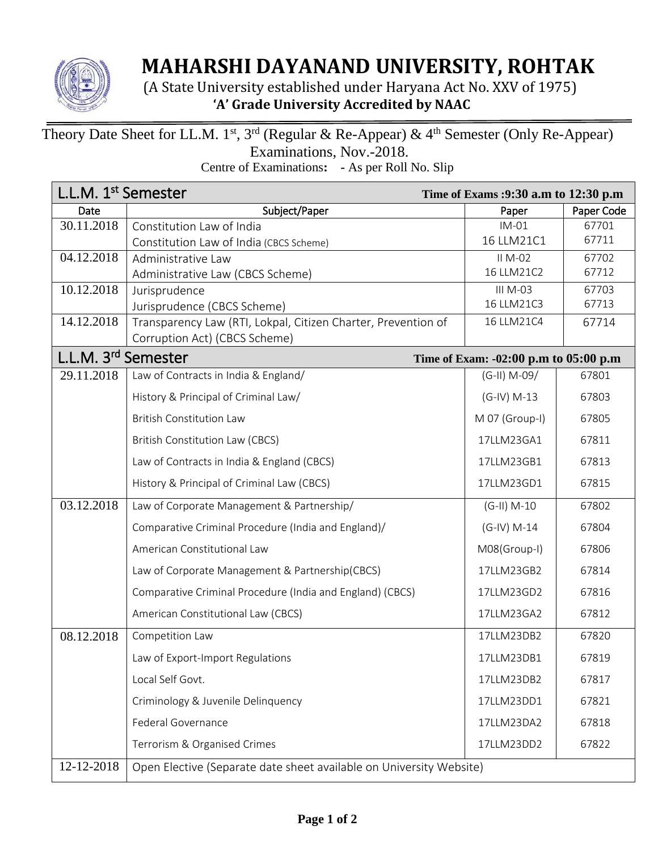

## **MAHARSHI DAYANAND UNIVERSITY, ROHTAK**

 (A State University established under Haryana Act No. XXV of 1975) **'A' Grade University Accredited by NAAC**

## Theory Date Sheet for LL.M. 1<sup>st</sup>, 3<sup>rd</sup> (Regular & Re-Appear) & 4<sup>th</sup> Semester (Only Re-Appear) Examinations, Nov.-2018.

Centre of Examinations**: -** As per Roll No. Slip

| L.L.M. 1 <sup>st</sup> Semester |                                                                          | Time of Exams :9:30 a.m to 12:30 p.m |                |  |
|---------------------------------|--------------------------------------------------------------------------|--------------------------------------|----------------|--|
| Date                            | Subject/Paper                                                            | Paper                                | Paper Code     |  |
| 30.11.2018                      | Constitution Law of India                                                | $IM-01$                              | 67701          |  |
|                                 | Constitution Law of India (CBCS Scheme)                                  | 16 LLM21C1                           | 67711          |  |
| 04.12.2018                      | Administrative Law                                                       | II M-02<br>16 LLM21C2                | 67702          |  |
|                                 | Administrative Law (CBCS Scheme)                                         |                                      | 67712<br>67703 |  |
| 10.12.2018                      | Jurisprudence<br>Jurisprudence (CBCS Scheme)                             | III M-03<br>16 LLM21C3               | 67713          |  |
| 14.12.2018                      | Transparency Law (RTI, Lokpal, Citizen Charter, Prevention of            | 16 LLM21C4                           | 67714          |  |
|                                 | Corruption Act) (CBCS Scheme)                                            |                                      |                |  |
|                                 | L.L.M. 3 <sup>rd</sup> Semester<br>Time of Exam: -02:00 p.m to 05:00 p.m |                                      |                |  |
| 29.11.2018                      | Law of Contracts in India & England/                                     | $(G-H)$ M-09/                        | 67801          |  |
|                                 | History & Principal of Criminal Law/                                     | $(G-IV) M-13$                        | 67803          |  |
|                                 | <b>British Constitution Law</b>                                          | M 07 (Group-I)                       | 67805          |  |
|                                 | British Constitution Law (CBCS)                                          | 17LLM23GA1                           | 67811          |  |
|                                 | Law of Contracts in India & England (CBCS)                               | 17LLM23GB1                           | 67813          |  |
|                                 | History & Principal of Criminal Law (CBCS)                               | 17LLM23GD1                           | 67815          |  |
| 03.12.2018                      | Law of Corporate Management & Partnership/                               | $(G-H) M-10$                         | 67802          |  |
|                                 | Comparative Criminal Procedure (India and England)/                      | $(G-IV) M-14$                        | 67804          |  |
|                                 | American Constitutional Law                                              | M08(Group-I)                         | 67806          |  |
|                                 | Law of Corporate Management & Partnership(CBCS)                          | 17LLM23GB2                           | 67814          |  |
|                                 | Comparative Criminal Procedure (India and England) (CBCS)                | 17LLM23GD2                           | 67816          |  |
|                                 | American Constitutional Law (CBCS)                                       | 17LLM23GA2                           | 67812          |  |
| 08.12.2018                      | Competition Law                                                          | 17LLM23DB2                           | 67820          |  |
|                                 | Law of Export-Import Regulations                                         | 17LLM23DB1                           | 67819          |  |
|                                 | Local Self Govt.                                                         | 17LLM23DB2                           | 67817          |  |
|                                 | Criminology & Juvenile Delinquency                                       | 17LLM23DD1                           | 67821          |  |
|                                 | Federal Governance                                                       | 17LLM23DA2                           | 67818          |  |
|                                 | Terrorism & Organised Crimes                                             | 17LLM23DD2                           | 67822          |  |
| 12-12-2018                      | Open Elective (Separate date sheet available on University Website)      |                                      |                |  |